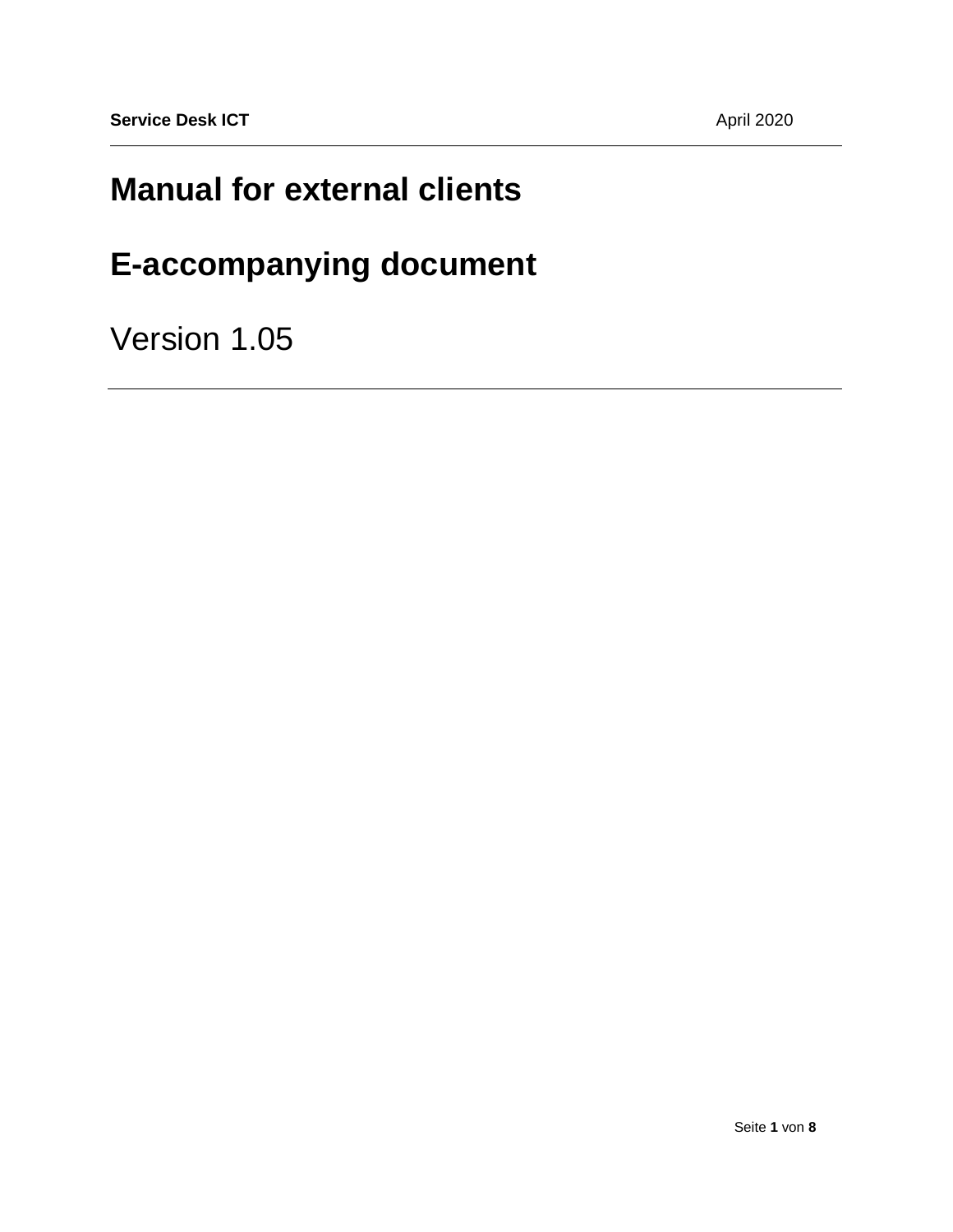## **Manual for external clients**

# **E-accompanying document**

Version 1.05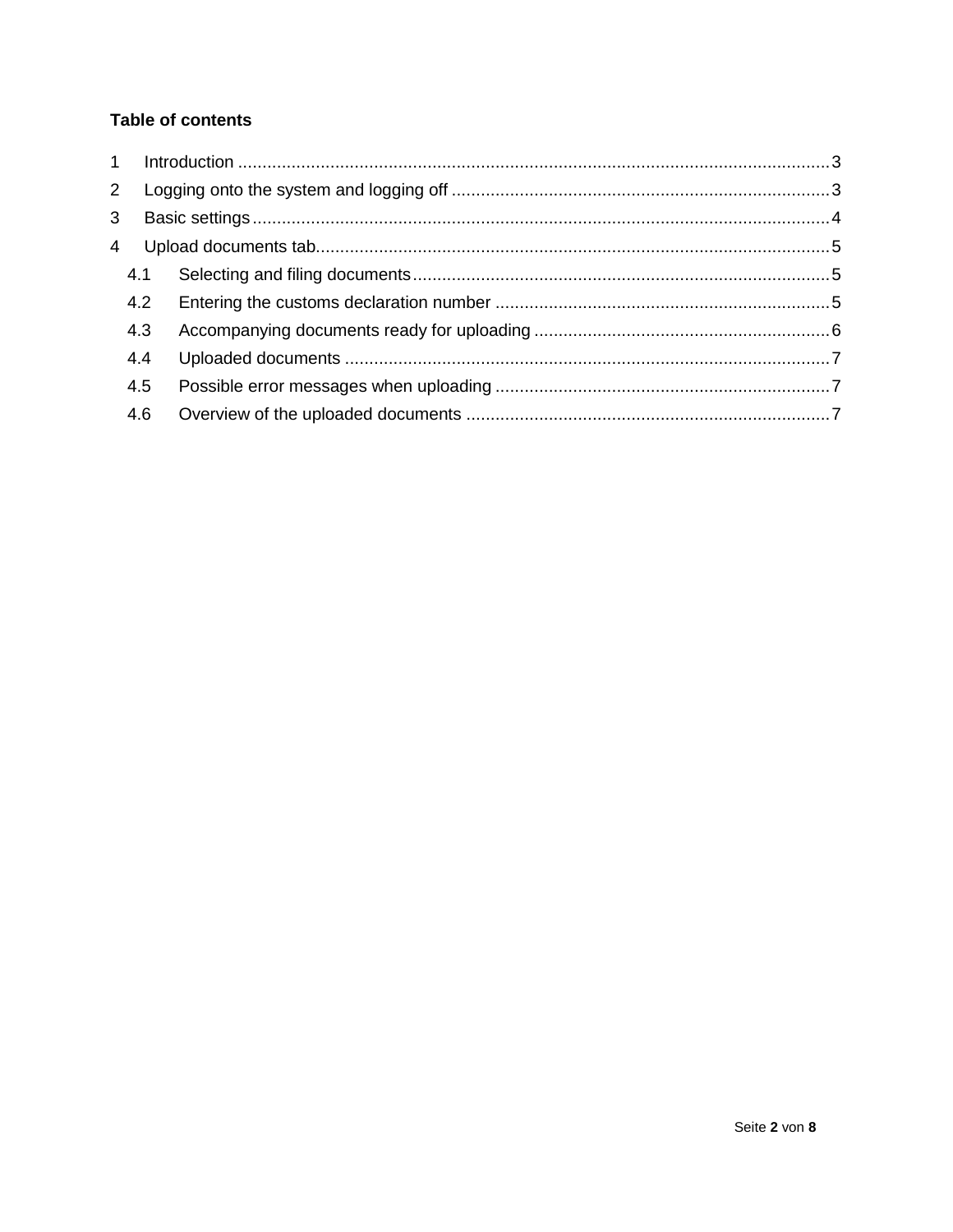## **Table of contents**

| $\overline{2}$ |     |  |
|----------------|-----|--|
| 3              |     |  |
| 4              |     |  |
|                | 4.1 |  |
|                | 4.2 |  |
|                | 4.3 |  |
|                | 4.4 |  |
|                | 4.5 |  |
|                | 4.6 |  |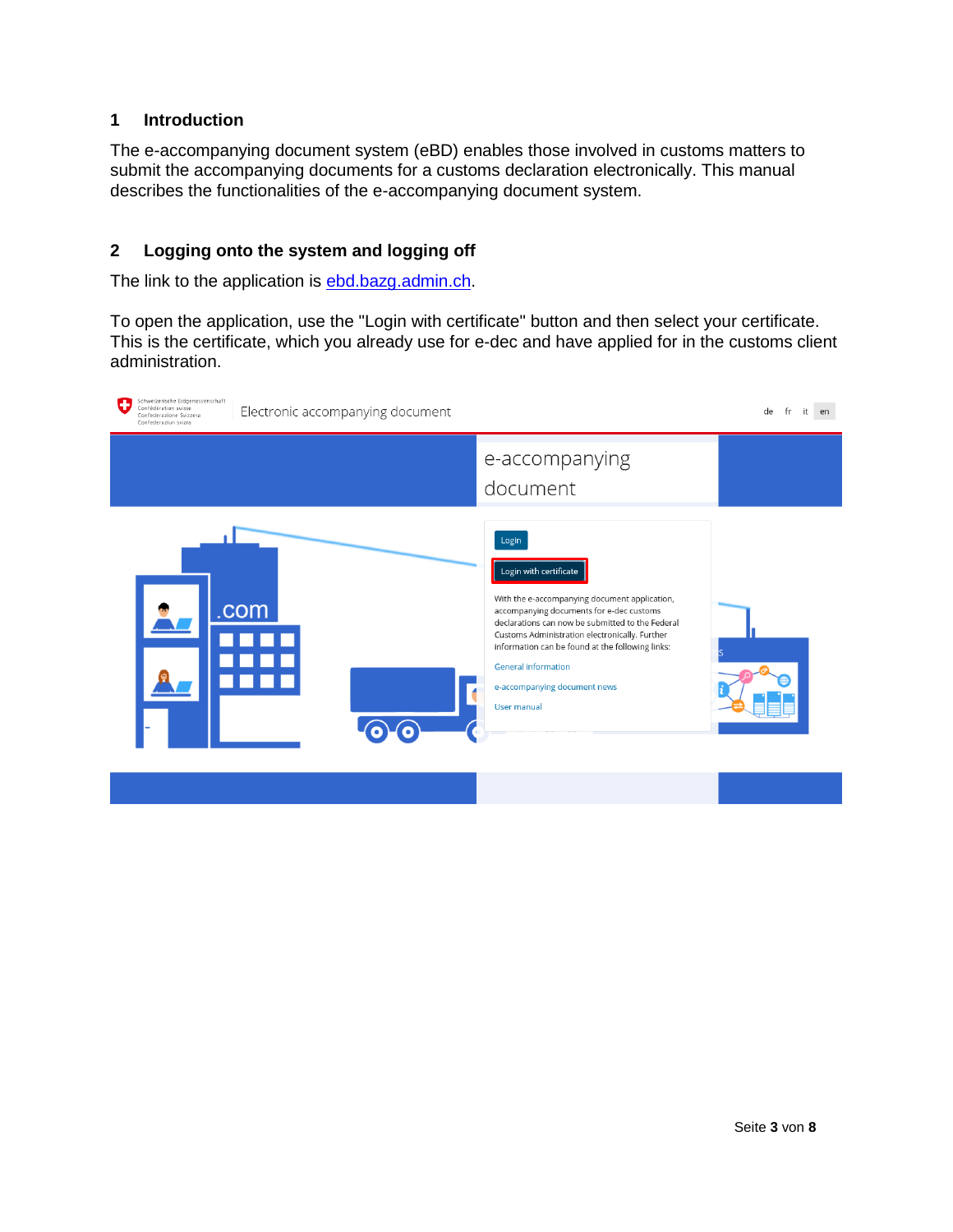#### <span id="page-2-0"></span>**1 Introduction**

The e-accompanying document system (eBD) enables those involved in customs matters to submit the accompanying documents for a customs declaration electronically. This manual describes the functionalities of the e-accompanying document system.

#### <span id="page-2-1"></span>**2 Logging onto the system and logging off**

The link to the application is **ebd.bazg.admin.ch**.

To open the application, use the "Login with certificate" button and then select your certificate. This is the certificate, which you already use for e-dec and have applied for in the customs client administration.

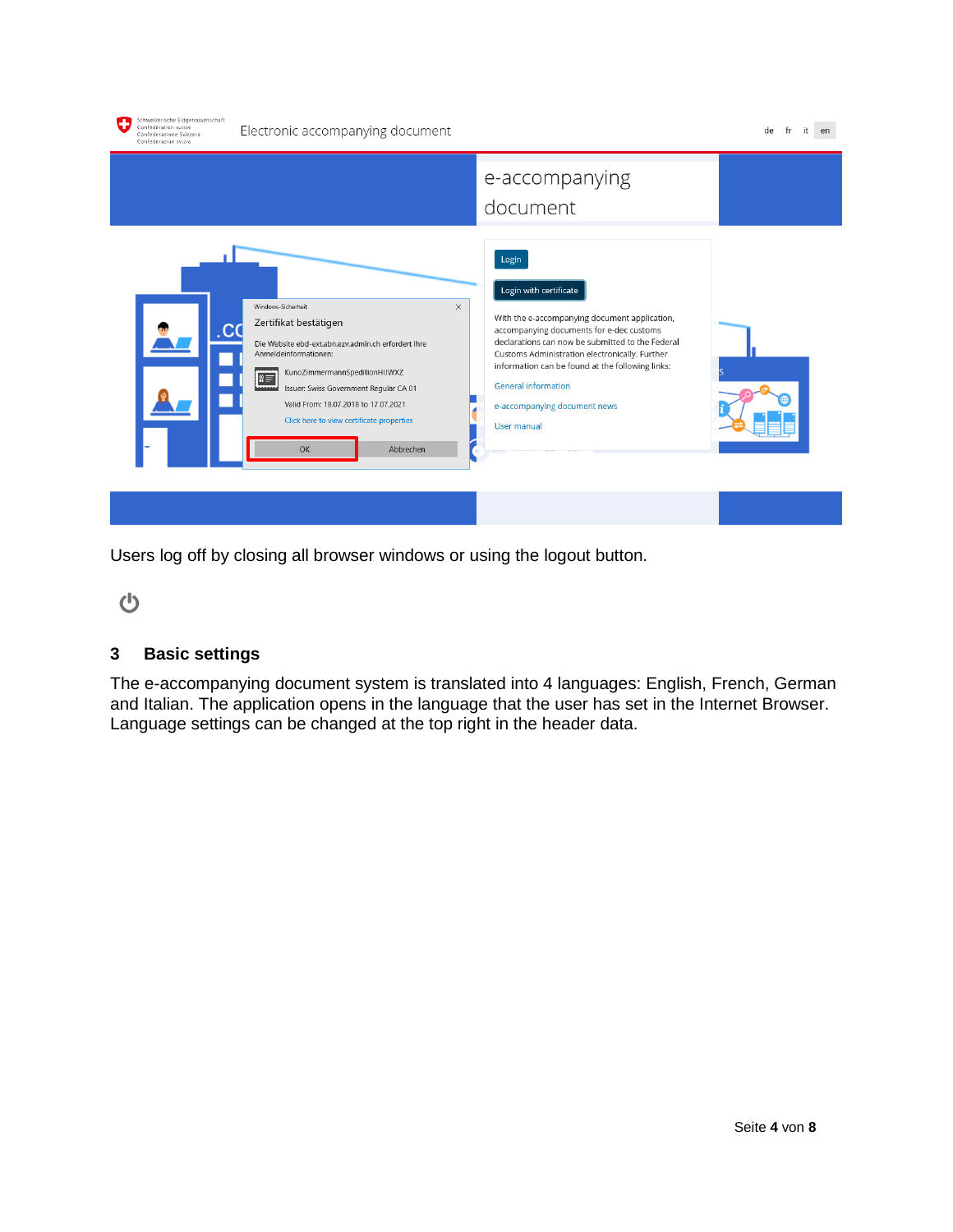| Schweizerische Eidgenossenschaft<br>Confédération suisse<br>Confederazione Svizzera<br>Confederaziun svizra | Electronic accompanying document                                                                                                                                                                                                                                                                                                                    |                                                                                                                                                                                                                                                                                                                                                                            | de |
|-------------------------------------------------------------------------------------------------------------|-----------------------------------------------------------------------------------------------------------------------------------------------------------------------------------------------------------------------------------------------------------------------------------------------------------------------------------------------------|----------------------------------------------------------------------------------------------------------------------------------------------------------------------------------------------------------------------------------------------------------------------------------------------------------------------------------------------------------------------------|----|
|                                                                                                             |                                                                                                                                                                                                                                                                                                                                                     | e-accompanying<br>document                                                                                                                                                                                                                                                                                                                                                 |    |
|                                                                                                             | Windows-Sicherheit<br>$\times$<br>Zertifikat bestätigen<br>Die Website ebd-ext.abn.ezv.admin.ch erfordert Ihre<br>Anmeldeinformationen:<br>KunoZimmermannSpeditionHIJWXZ<br>$\mathbb{S}^{\equiv}$<br>Issuer: Swiss Government Regular CA 01<br>Valid From: 18.07.2018 to 17.07.2021<br>Click here to view certificate properties<br>OK<br>Abbrechen | Login<br>Login with certificate<br>With the e-accompanying document application,<br>accompanying documents for e-dec customs<br>declarations can now be submitted to the Federal<br>Customs Administration electronically. Further<br>information can be found at the following links:<br><b>General information</b><br>e-accompanying document news<br><b>User manual</b> |    |
|                                                                                                             |                                                                                                                                                                                                                                                                                                                                                     |                                                                                                                                                                                                                                                                                                                                                                            |    |

Users log off by closing all browser windows or using the logout button.

 $\mathbf{\Theta}$ 

## <span id="page-3-0"></span>**3 Basic settings**

The e-accompanying document system is translated into 4 languages: English, French, German and Italian. The application opens in the language that the user has set in the Internet Browser. Language settings can be changed at the top right in the header data.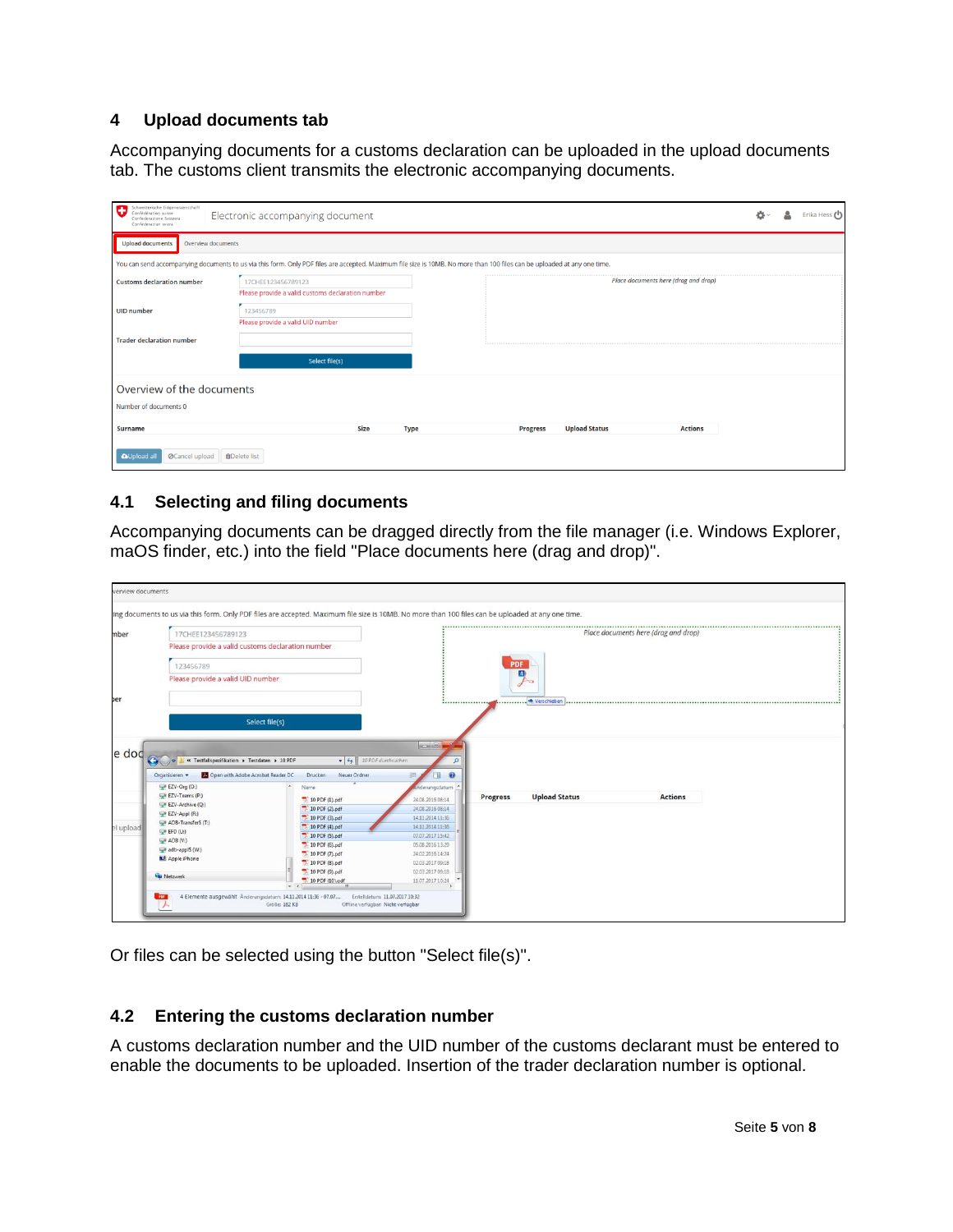#### <span id="page-4-0"></span>**4 Upload documents tab**

Accompanying documents for a customs declaration can be uploaded in the upload documents tab. The customs client transmits the electronic accompanying documents.

| Schweizerische Eidgenossenschaft<br>Confédération suisse<br>Confederazione Svizzera<br>Confederaziun svizra | Electronic accompanying document                                                                                                                                         |  | Erika Hess (り |
|-------------------------------------------------------------------------------------------------------------|--------------------------------------------------------------------------------------------------------------------------------------------------------------------------|--|---------------|
| <b>Upload documents</b><br>Overview documents                                                               |                                                                                                                                                                          |  |               |
|                                                                                                             | You can send accompanying documents to us via this form. Only PDF files are accepted. Maximum file size is 10MB. No more than 100 files can be uploaded at any one time. |  |               |
| <b>Customs declaration number</b>                                                                           | Place documents here (drag and drop)<br>17CHEE123456789123<br>Please provide a valid customs declaration number                                                          |  |               |
| <b>UID</b> number                                                                                           | 123456789<br>Please provide a valid UID number                                                                                                                           |  |               |
| <b>Trader declaration number</b>                                                                            |                                                                                                                                                                          |  |               |
|                                                                                                             | Select file(s)                                                                                                                                                           |  |               |
| Overview of the documents                                                                                   |                                                                                                                                                                          |  |               |
| Number of documents 0                                                                                       |                                                                                                                                                                          |  |               |
| <b>Surname</b>                                                                                              | <b>Size</b><br><b>Upload Status</b><br><b>Actions</b><br><b>Type</b><br><b>Progress</b>                                                                                  |  |               |
| OCancel upload<br><b>AUpload a</b>                                                                          | <b>m</b> Delete list                                                                                                                                                     |  |               |

#### <span id="page-4-1"></span>**4.1 Selecting and filing documents**

Accompanying documents can be dragged directly from the file manager (i.e. Windows Explorer, maOS finder, etc.) into the field "Place documents here (drag and drop)".

|                   | 17CHEE123456789123                                            |                                  |                                                  |                                      |                 |                      | Place documents here (drag and drop) |  |
|-------------------|---------------------------------------------------------------|----------------------------------|--------------------------------------------------|--------------------------------------|-----------------|----------------------|--------------------------------------|--|
|                   | Please provide a valid customs declaration number             |                                  |                                                  |                                      |                 |                      |                                      |  |
|                   | 123456789                                                     |                                  |                                                  |                                      | <b>PDF</b>      |                      |                                      |  |
|                   | Please provide a valid UID number                             |                                  |                                                  |                                      |                 | a<br>$\sim$          |                                      |  |
|                   |                                                               |                                  |                                                  |                                      |                 |                      |                                      |  |
|                   |                                                               | Select file(s)                   |                                                  |                                      |                 |                      |                                      |  |
|                   |                                                               |                                  |                                                  |                                      |                 |                      |                                      |  |
|                   |                                                               |                                  |                                                  |                                      |                 |                      |                                      |  |
|                   |                                                               |                                  |                                                  | <b>ROID</b>                          |                 |                      |                                      |  |
|                   | v M Testfallspezifikation > Testdaten > 10 PDF                |                                  | $\bullet$ $\bullet$ $\bullet$ 10 PDF durchsuchen | $\mathcal{L}$                        |                 |                      |                                      |  |
|                   | <b>25</b> Open with Adobe Acrobat Reader DC<br>Organisieren v | <b>Drucken</b>                   | Neuer Ordner                                     | $\bullet$                            |                 |                      |                                      |  |
|                   | EZV-Org (O:)                                                  | Name                             |                                                  | inderungsdatum                       |                 |                      |                                      |  |
|                   | EZV-Teams (P:)<br>EZV-Archive (Q:)                            | $10$ PDF (1).pdf                 |                                                  | 24.08.2016 08:14                     | <b>Progress</b> | <b>Upload Status</b> | <b>Actions</b>                       |  |
|                   | EZV-Appl (R:)                                                 | 10 PDF (2).pdf                   |                                                  | 24.08.2016 08:14                     |                 |                      |                                      |  |
|                   | ADB-Transfer\$ (T:)                                           | 10 PDF (3).pdf                   |                                                  | 14.11.2014 11:36                     |                 |                      |                                      |  |
|                   | $\subseteq$ EFD (U:)                                          | 10 PDF (4).pdf                   |                                                  | 14.11.2014 11:36                     |                 |                      |                                      |  |
|                   | $\bigcirc$ ADB (V:)                                           | 10 PDF (5).pdf                   |                                                  | 07.07.2017 15:42                     |                 |                      |                                      |  |
|                   | adb-appl\$ (W:)                                               | 10 PDF (6).pdf                   |                                                  | 05.08.2016 13:29                     |                 |                      |                                      |  |
|                   | Apple iPhone                                                  | 10 PDF (7).pdf                   |                                                  | 24.02.2016 14:24                     |                 |                      |                                      |  |
| e dod<br>l upload | <b>EN</b> Netzwerk                                            | 10 PDF (8).pdf<br>10 PDF (9).pdf |                                                  | 02.03.2017 09:18<br>02.03.2017 09:18 |                 |                      |                                      |  |

Or files can be selected using the button "Select file(s)".

#### <span id="page-4-2"></span>**4.2 Entering the customs declaration number**

A customs declaration number and the UID number of the customs declarant must be entered to enable the documents to be uploaded. Insertion of the trader declaration number is optional.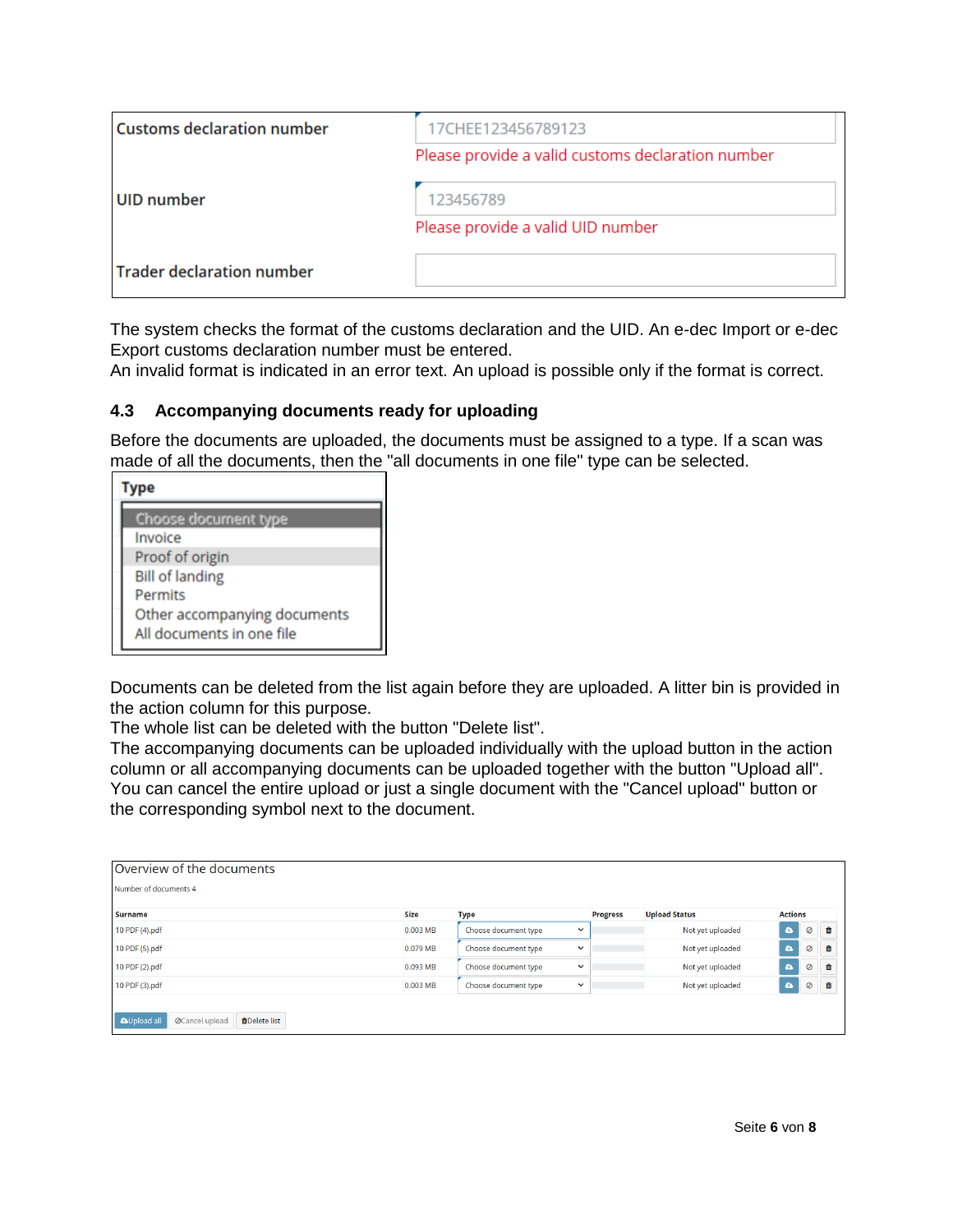| <b>Customs declaration number</b> | 17CHEE123456789123                                |
|-----------------------------------|---------------------------------------------------|
|                                   | Please provide a valid customs declaration number |
| UID number                        | 123456789                                         |
|                                   | Please provide a valid UID number                 |
| <b>Trader declaration number</b>  |                                                   |

The system checks the format of the customs declaration and the UID. An e-dec Import or e-dec Export customs declaration number must be entered.

An invalid format is indicated in an error text. An upload is possible only if the format is correct.

#### <span id="page-5-0"></span>**4.3 Accompanying documents ready for uploading**

Before the documents are uploaded, the documents must be assigned to a type. If a scan was made of all the documents, then the "all documents in one file" type can be selected.

| <b>Choose document type</b><br>Invoice                    |
|-----------------------------------------------------------|
| Proof of origin                                           |
| <b>Bill of landing</b><br>Permits                         |
| Other accompanying documents<br>All documents in one file |

Documents can be deleted from the list again before they are uploaded. A litter bin is provided in the action column for this purpose.

The whole list can be deleted with the button "Delete list".

The accompanying documents can be uploaded individually with the upload button in the action column or all accompanying documents can be uploaded together with the button "Upload all". You can cancel the entire upload or just a single document with the "Cancel upload" button or the corresponding symbol next to the document.

| Overview of the documents                                           |             |                      |              |                 |                      |                |   |   |  |  |
|---------------------------------------------------------------------|-------------|----------------------|--------------|-----------------|----------------------|----------------|---|---|--|--|
| Number of documents 4                                               |             |                      |              |                 |                      |                |   |   |  |  |
| <b>Surname</b>                                                      | <b>Size</b> | <b>Type</b>          |              | <b>Progress</b> | <b>Upload Status</b> | <b>Actions</b> |   |   |  |  |
| 10 PDF (4).pdf                                                      | 0.003 MB    | Choose document type | $\checkmark$ |                 | Not yet uploaded     | $\pmb{\alpha}$ | Ø | ⋒ |  |  |
| 10 PDF (5).pdf                                                      | 0.079 MB    | Choose document type | $\checkmark$ |                 | Not yet uploaded     | $\bullet$      | Ø | û |  |  |
| 10 PDF (2).pdf                                                      | 0.093 MB    | Choose document type | $\checkmark$ |                 | Not yet uploaded     | $\pmb{\alpha}$ | Ø | û |  |  |
| 10 PDF (3).pdf                                                      | 0.003 MB    | Choose document type | $\checkmark$ |                 | Not yet uploaded     | $\pmb{\alpha}$ | Ø | û |  |  |
| <b>AUpload all</b><br><b>Ø</b> Cancel upload<br><b>MDelete</b> list |             |                      |              |                 |                      |                |   |   |  |  |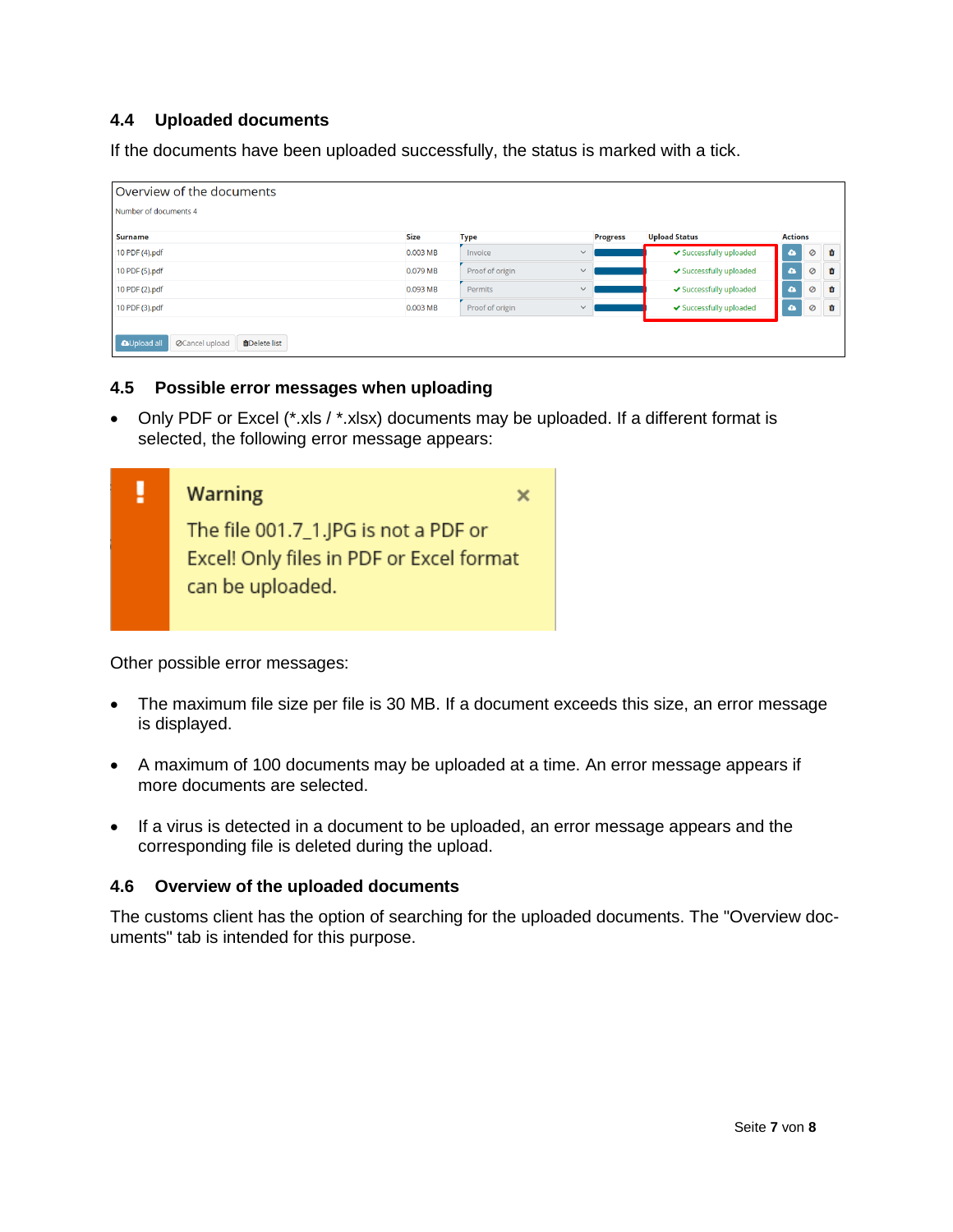### <span id="page-6-0"></span>**4.4 Uploaded documents**

If the documents have been uploaded successfully, the status is marked with a tick.

| Overview of the documents                                                                                 |            |                                 |  |                         |                         |         |   |  |  |
|-----------------------------------------------------------------------------------------------------------|------------|---------------------------------|--|-------------------------|-------------------------|---------|---|--|--|
| Number of documents 4                                                                                     |            |                                 |  |                         |                         |         |   |  |  |
| <b>Size</b><br><b>Upload Status</b><br><b>Surname</b><br><b>Actions</b><br><b>Progress</b><br><b>Type</b> |            |                                 |  |                         |                         |         |   |  |  |
| 10 PDF (4).pdf                                                                                            | 0.003 MB   | Invoice<br>$\checkmark$         |  | ✔ Successfully uploaded | $\bullet$               | $\circ$ | 命 |  |  |
| 10 PDF (5).pdf                                                                                            | 0.079 MB   | Proof of origin<br>$\checkmark$ |  | ◆ Successfully uploaded | $\overline{\mathbf{a}}$ | $\circ$ | 命 |  |  |
| 10 PDF (2).pdf                                                                                            | 0.093 MB   | Permits<br>$\checkmark$         |  | ◆ Successfully uploaded | W.                      | $\circ$ | 面 |  |  |
| 10 PDF (3).pdf                                                                                            | $0.003$ MB | Proof of origin<br>$\checkmark$ |  | ◆ Successfully uploaded | œ                       | $\circ$ | Ê |  |  |
| <b>AUpload all</b><br>OCancel upload<br><b>OD</b> Delete list                                             |            |                                 |  |                         |                         |         |   |  |  |

#### <span id="page-6-1"></span>**4.5 Possible error messages when uploading**

• Only PDF or Excel (\*.xls / \*.xlsx) documents may be uploaded. If a different format is selected, the following error message appears:



Other possible error messages:

- The maximum file size per file is 30 MB. If a document exceeds this size, an error message is displayed.
- A maximum of 100 documents may be uploaded at a time. An error message appears if more documents are selected.
- If a virus is detected in a document to be uploaded, an error message appears and the corresponding file is deleted during the upload.

#### <span id="page-6-2"></span>**4.6 Overview of the uploaded documents**

The customs client has the option of searching for the uploaded documents. The "Overview documents" tab is intended for this purpose.